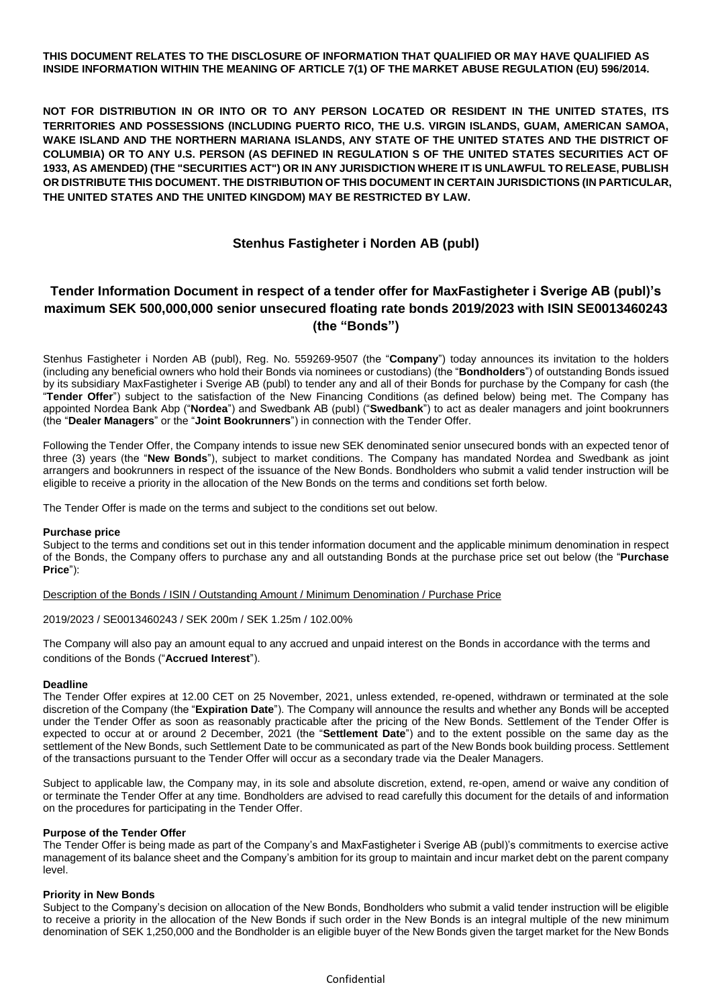## **THIS DOCUMENT RELATES TO THE DISCLOSURE OF INFORMATION THAT QUALIFIED OR MAY HAVE QUALIFIED AS INSIDE INFORMATION WITHIN THE MEANING OF ARTICLE 7(1) OF THE MARKET ABUSE REGULATION (EU) 596/2014.**

**NOT FOR DISTRIBUTION IN OR INTO OR TO ANY PERSON LOCATED OR RESIDENT IN THE UNITED STATES, ITS TERRITORIES AND POSSESSIONS (INCLUDING PUERTO RICO, THE U.S. VIRGIN ISLANDS, GUAM, AMERICAN SAMOA, WAKE ISLAND AND THE NORTHERN MARIANA ISLANDS, ANY STATE OF THE UNITED STATES AND THE DISTRICT OF COLUMBIA) OR TO ANY U.S. PERSON (AS DEFINED IN REGULATION S OF THE UNITED STATES SECURITIES ACT OF 1933, AS AMENDED) (THE "SECURITIES ACT") OR IN ANY JURISDICTION WHERE IT IS UNLAWFUL TO RELEASE, PUBLISH OR DISTRIBUTE THIS DOCUMENT. THE DISTRIBUTION OF THIS DOCUMENT IN CERTAIN JURISDICTIONS (IN PARTICULAR, THE UNITED STATES AND THE UNITED KINGDOM) MAY BE RESTRICTED BY LAW.**

## **Stenhus Fastigheter i Norden AB (publ)**

# **Tender Information Document in respect of a tender offer for MaxFastigheter i Sverige AB (publ)'s maximum SEK 500,000,000 senior unsecured floating rate bonds 2019/2023 with ISIN SE0013460243 (the "Bonds")**

Stenhus Fastigheter i Norden AB (publ), Reg. No. 559269-9507 (the "**Company**") today announces its invitation to the holders (including any beneficial owners who hold their Bonds via nominees or custodians) (the "**Bondholders**") of outstanding Bonds issued by its subsidiary MaxFastigheter i Sverige AB (publ) to tender any and all of their Bonds for purchase by the Company for cash (the "**Tender Offer**") subject to the satisfaction of the New Financing Conditions (as defined below) being met. The Company has appointed Nordea Bank Abp ("**Nordea**") and Swedbank AB (publ) ("**Swedbank**") to act as dealer managers and joint bookrunners (the "**Dealer Managers**" or the "**Joint Bookrunners**") in connection with the Tender Offer.

Following the Tender Offer, the Company intends to issue new SEK denominated senior unsecured bonds with an expected tenor of three (3) years (the "**New Bonds**"), subject to market conditions. The Company has mandated Nordea and Swedbank as joint arrangers and bookrunners in respect of the issuance of the New Bonds. Bondholders who submit a valid tender instruction will be eligible to receive a priority in the allocation of the New Bonds on the terms and conditions set forth below.

The Tender Offer is made on the terms and subject to the conditions set out below.

## **Purchase price**

Subject to the terms and conditions set out in this tender information document and the applicable minimum denomination in respect of the Bonds, the Company offers to purchase any and all outstanding Bonds at the purchase price set out below (the "**Purchase Price**"):

Description of the Bonds / ISIN / Outstanding Amount / Minimum Denomination / Purchase Price

2019/2023 / SE0013460243 / SEK 200m / SEK 1.25m / 102.00%

The Company will also pay an amount equal to any accrued and unpaid interest on the Bonds in accordance with the terms and conditions of the Bonds ("**Accrued Interest**").

## **Deadline**

The Tender Offer expires at 12.00 CET on 25 November, 2021, unless extended, re-opened, withdrawn or terminated at the sole discretion of the Company (the "**Expiration Date**"). The Company will announce the results and whether any Bonds will be accepted under the Tender Offer as soon as reasonably practicable after the pricing of the New Bonds. Settlement of the Tender Offer is expected to occur at or around 2 December, 2021 (the "**Settlement Date**") and to the extent possible on the same day as the settlement of the New Bonds, such Settlement Date to be communicated as part of the New Bonds book building process. Settlement of the transactions pursuant to the Tender Offer will occur as a secondary trade via the Dealer Managers.

Subject to applicable law, the Company may, in its sole and absolute discretion, extend, re-open, amend or waive any condition of or terminate the Tender Offer at any time. Bondholders are advised to read carefully this document for the details of and information on the procedures for participating in the Tender Offer.

## **Purpose of the Tender Offer**

The Tender Offer is being made as part of the Company's and MaxFastigheter i Sverige AB (publ)'s commitments to exercise active management of its balance sheet and the Company's ambition for its group to maintain and incur market debt on the parent company level.

## **Priority in New Bonds**

Subject to the Company's decision on allocation of the New Bonds, Bondholders who submit a valid tender instruction will be eligible to receive a priority in the allocation of the New Bonds if such order in the New Bonds is an integral multiple of the new minimum denomination of SEK 1,250,000 and the Bondholder is an eligible buyer of the New Bonds given the target market for the New Bonds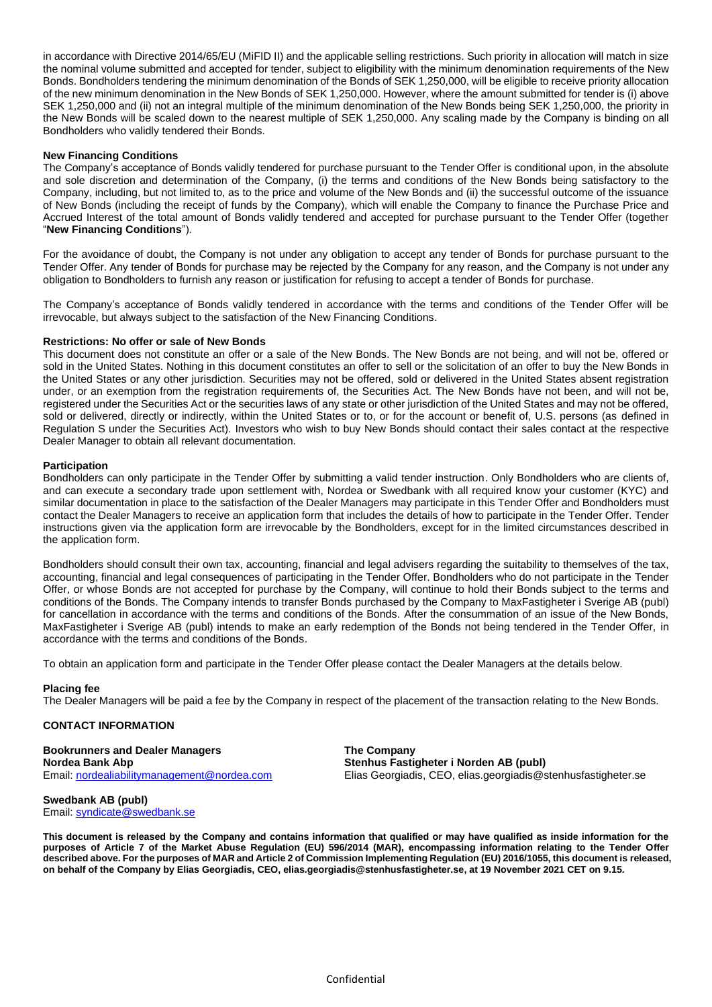in accordance with Directive 2014/65/EU (MiFID II) and the applicable selling restrictions. Such priority in allocation will match in size the nominal volume submitted and accepted for tender, subject to eligibility with the minimum denomination requirements of the New Bonds. Bondholders tendering the minimum denomination of the Bonds of SEK 1,250,000, will be eligible to receive priority allocation of the new minimum denomination in the New Bonds of SEK 1,250,000. However, where the amount submitted for tender is (i) above SEK 1,250,000 and (ii) not an integral multiple of the minimum denomination of the New Bonds being SEK 1,250,000, the priority in the New Bonds will be scaled down to the nearest multiple of SEK 1,250,000. Any scaling made by the Company is binding on all Bondholders who validly tendered their Bonds.

## **New Financing Conditions**

The Company's acceptance of Bonds validly tendered for purchase pursuant to the Tender Offer is conditional upon, in the absolute and sole discretion and determination of the Company, (i) the terms and conditions of the New Bonds being satisfactory to the Company, including, but not limited to, as to the price and volume of the New Bonds and (ii) the successful outcome of the issuance of New Bonds (including the receipt of funds by the Company), which will enable the Company to finance the Purchase Price and Accrued Interest of the total amount of Bonds validly tendered and accepted for purchase pursuant to the Tender Offer (together "**New Financing Conditions**").

For the avoidance of doubt, the Company is not under any obligation to accept any tender of Bonds for purchase pursuant to the Tender Offer. Any tender of Bonds for purchase may be rejected by the Company for any reason, and the Company is not under any obligation to Bondholders to furnish any reason or justification for refusing to accept a tender of Bonds for purchase.

The Company's acceptance of Bonds validly tendered in accordance with the terms and conditions of the Tender Offer will be irrevocable, but always subject to the satisfaction of the New Financing Conditions.

## **Restrictions: No offer or sale of New Bonds**

This document does not constitute an offer or a sale of the New Bonds. The New Bonds are not being, and will not be, offered or sold in the United States. Nothing in this document constitutes an offer to sell or the solicitation of an offer to buy the New Bonds in the United States or any other jurisdiction. Securities may not be offered, sold or delivered in the United States absent registration under, or an exemption from the registration requirements of, the Securities Act. The New Bonds have not been, and will not be, registered under the Securities Act or the securities laws of any state or other jurisdiction of the United States and may not be offered, sold or delivered, directly or indirectly, within the United States or to, or for the account or benefit of, U.S. persons (as defined in Regulation S under the Securities Act). Investors who wish to buy New Bonds should contact their sales contact at the respective Dealer Manager to obtain all relevant documentation.

#### **Participation**

Bondholders can only participate in the Tender Offer by submitting a valid tender instruction. Only Bondholders who are clients of, and can execute a secondary trade upon settlement with, Nordea or Swedbank with all required know your customer (KYC) and similar documentation in place to the satisfaction of the Dealer Managers may participate in this Tender Offer and Bondholders must contact the Dealer Managers to receive an application form that includes the details of how to participate in the Tender Offer. Tender instructions given via the application form are irrevocable by the Bondholders, except for in the limited circumstances described in the application form.

Bondholders should consult their own tax, accounting, financial and legal advisers regarding the suitability to themselves of the tax, accounting, financial and legal consequences of participating in the Tender Offer. Bondholders who do not participate in the Tender Offer, or whose Bonds are not accepted for purchase by the Company, will continue to hold their Bonds subject to the terms and conditions of the Bonds. The Company intends to transfer Bonds purchased by the Company to MaxFastigheter i Sverige AB (publ) for cancellation in accordance with the terms and conditions of the Bonds. After the consummation of an issue of the New Bonds, MaxFastigheter i Sverige AB (publ) intends to make an early redemption of the Bonds not being tendered in the Tender Offer, in accordance with the terms and conditions of the Bonds.

To obtain an application form and participate in the Tender Offer please contact the Dealer Managers at the details below.

## **Placing fee**

The Dealer Managers will be paid a fee by the Company in respect of the placement of the transaction relating to the New Bonds.

## **CONTACT INFORMATION**

**Bookrunners and Dealer Managers The Company Nordea Bank Abp Stenhus Fastigheter i Norden AB (publ)**

Email[: nordealiabilitymanagement@nordea.com](mailto:nordealiabilitymanagement@nordea.com) Elias Georgiadis, CEO, elias.georgiadis@stenhusfastigheter.se

**Swedbank AB (publ)** Email[: syndicate@swedbank.se](mailto:syndicate@swedbank.se)

**This document is released by the Company and contains information that qualified or may have qualified as inside information for the purposes of Article 7 of the Market Abuse Regulation (EU) 596/2014 (MAR), encompassing information relating to the Tender Offer described above. For the purposes of MAR and Article 2 of Commission Implementing Regulation (EU) 2016/1055, this document is released, on behalf of the Company by Elias Georgiadis, CEO, elias.georgiadis@stenhusfastigheter.se, at 19 November 2021 CET on 9.15.**